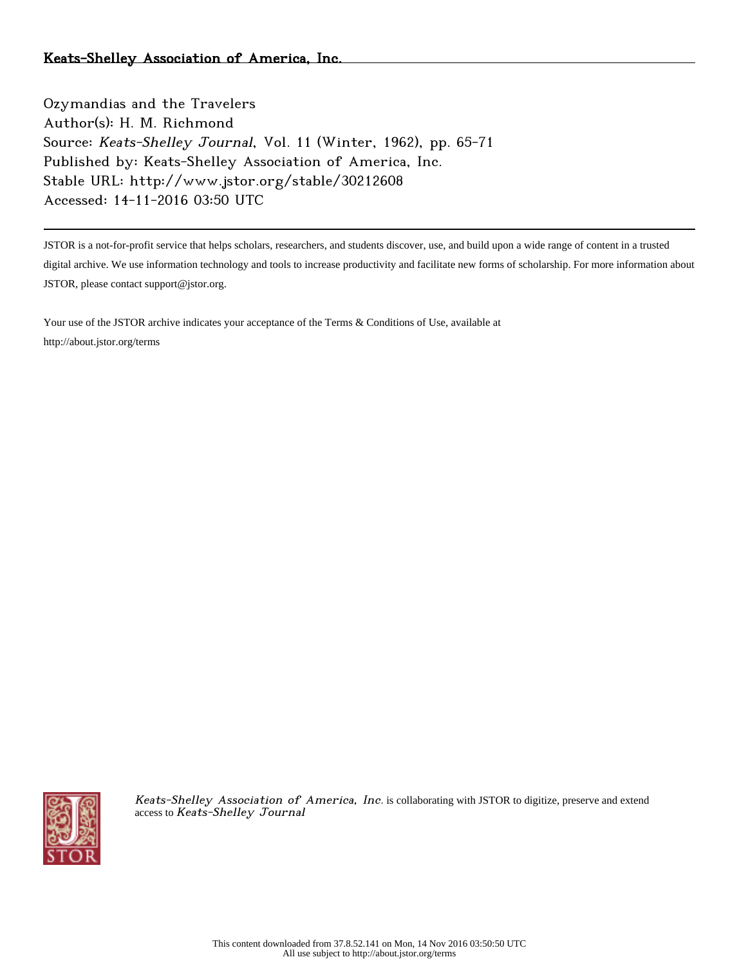Ozymandias and the Travelers Author(s): H. M. Richmond Source: Keats-Shelley Journal, Vol. 11 (Winter, 1962), pp. 65-71 Published by: Keats-Shelley Association of America, Inc. Stable URL: http://www.jstor.org/stable/30212608 Accessed: 14-11-2016 03:50 UTC

JSTOR is a not-for-profit service that helps scholars, researchers, and students discover, use, and build upon a wide range of content in a trusted

digital archive. We use information technology and tools to increase productivity and facilitate new forms of scholarship. For more information about JSTOR, please contact support@jstor.org.

Your use of the JSTOR archive indicates your acceptance of the Terms & Conditions of Use, available at http://about.jstor.org/terms



Keats-Shelley Association of America, Inc. is collaborating with JSTOR to digitize, preserve and extend access to Keats-Shelley Journal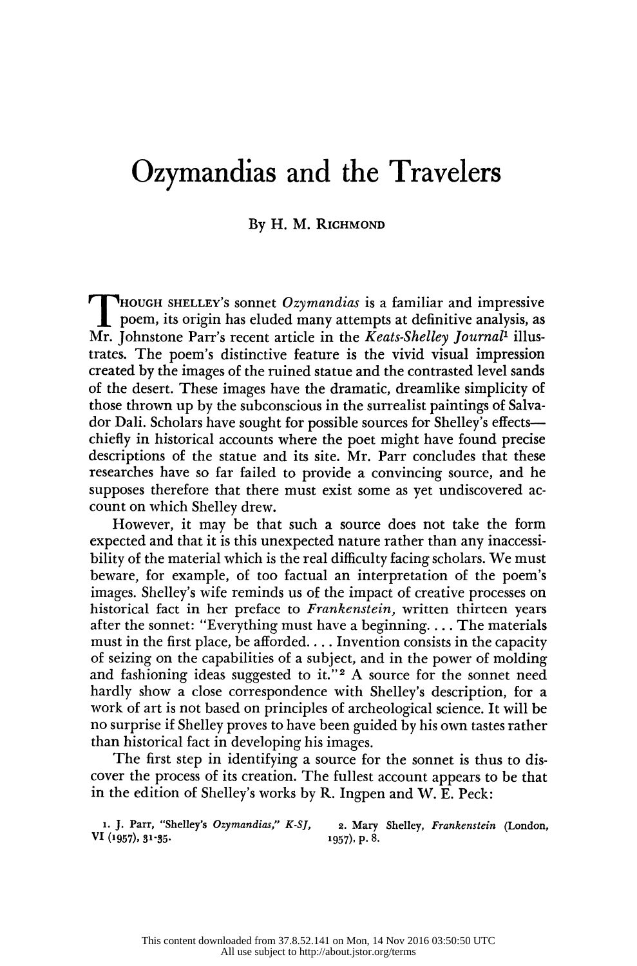## Ozymandias and the Travelers

## By H. M. RICHMOND

THOUGH SHELLEY's sonnet Ozymandias is a familiar and impressive poem, its origin has eluded many attempts at definitive analysis, as Mr. Johnstone Parr's recent article in the Keats-Shelley Journal<sup>1</sup> illus trates. The poem's distinctive feature is the vivid visual impression created by the images of the ruined statue and the contrasted level sands of the desert. These images have the dramatic, dreamlike simplicity of those thrown up by the subconscious in the surrealist paintings of Salva dor Dali. Scholars have sought for possible sources for Shelley's effects chiefly in historical accounts where the poet might have found precise descriptions of the statue and its site. Mr. Parr concludes that these researches have so far failed to provide a convincing source, and he supposes therefore that there must exist some as yet undiscovered ac count on which Shelley drew.

 However, it may be that such a source does not take the form expected and that it is this unexpected nature rather than any inaccessi bility of the material which is the real difficulty facing scholars. We must beware, for example, of too factual an interpretation of the poem's images. Shelley's wife reminds us of the impact of creative processes on historical fact in her preface to Frankenstein, written thirteen years after the sonnet: "Everything must have a beginning.... The materials must in the first place, be afforded.... Invention consists in the capacity of seizing on the capabilities of a subject, and in the power of molding and fashioning ideas suggested to it."<sup>2</sup> A source for the sonnet need hardly show a close correspondence with Shelley's description, for a work of art is not based on principles of archeological science. It will be no surprise if Shelley proves to have been guided by his own tastes rather than historical fact in developing his images.

 The first step in identifying a source for the sonnet is thus to dis cover the process of its creation. The fullest account appears to be that in the edition of Shelley's works by R. Ingpen and W. E. Peck:

 1. J. Parr, "Shelley's Ozymandias," K-SJ, VI (1957), 31-35. 2. Mary Shelley, Frankenstein (London, 1957), p. 8.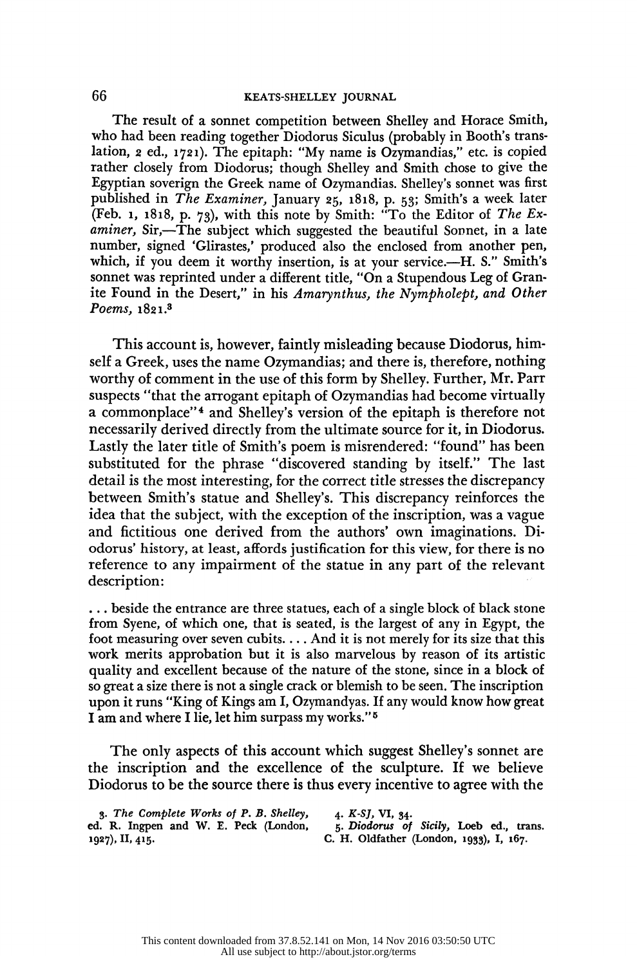The result of a sonnet competition between Shelley and Horace Smith, who had been reading together Diodorus Siculus (probably in Booth's trans lation, a ed., 1721). The epitaph: "My name is Ozymandias," etc. is copied rather closely from Diodorus; though Shelley and Smith chose to give the Egyptian soverign the Greek name of Ozymandias. Shelley's sonnet was first published in The Examiner, January 25, 1818, p. 53; Smith's a week later (Feb. 1, 1818, p. 73), with this note by Smith: "To the Editor of The Ex aminer, Sir,—The subject which suggested the beautiful Sonnet, in a late number, signed 'Glirastes,' produced also the enclosed from another pen, which, if you deem it worthy insertion, is at your service.—H. S." Smith's sonnet was reprinted under a different title, "On a Stupendous Leg of Gran ite Found in the Desert," in his Amarynthus, the Nympholept, and Other Poems, 1821.3

 This account is, however, faintly misleading because Diodorus, him self a Greek, uses the name Ozymandias; and there is, therefore, nothing worthy of comment in the use of this form by Shelley. Further, Mr. Parr suspects "that the arrogant epitaph of Ozymandias had become virtually a commonplace"4 and Shelley's version of the epitaph is therefore not necessarily derived directly from the ultimate source for it, in Diodorus. Lastly the later title of Smith's poem is misrendered: "found" has been substituted for the phrase "discovered standing by itself." The last detail is the most interesting, for the correct title stresses the discrepancy between Smith's statue and Shelley's. This discrepancy reinforces the idea that the subject, with the exception of the inscription, was a vague and fictitious one derived from the authors' own imaginations. Di odorus' history, at least, affords justification for this view, for there is no reference to any impairment of the statue in any part of the relevant description:

 ... beside the entrance are three statues, each of a single block of black stone from Syene, of which one, that is seated, is the largest of any in Egypt, the foot measuring over seven cubits. .. . And it is not merely for its size that this work merits approbation but it is also marvelous by reason of its artistic quality and excellent because of the nature of the stone, since in a block of so great a size there is not a single crack or blemish to be seen. The inscription upon it runs "King of Kings am I, Ozymandyas. If any would know how great I am and where I lie, let him surpass my works."5

 The only aspects of this account which suggest Shelley's sonnet are the inscription and the excellence of the sculpture. If we believe Diodorus to be the source there is thus every incentive to agree with the

 3. The Complete Works of P. B. Shelley, ed. R. Ingpen and W. E. Peck (London, 1927), II, 415.

 4. K-SJ, VI, 34- 5. Diodorus of Sicily, Loeb ed., trans. C. H. Oldfather (London, 1933), I, 167.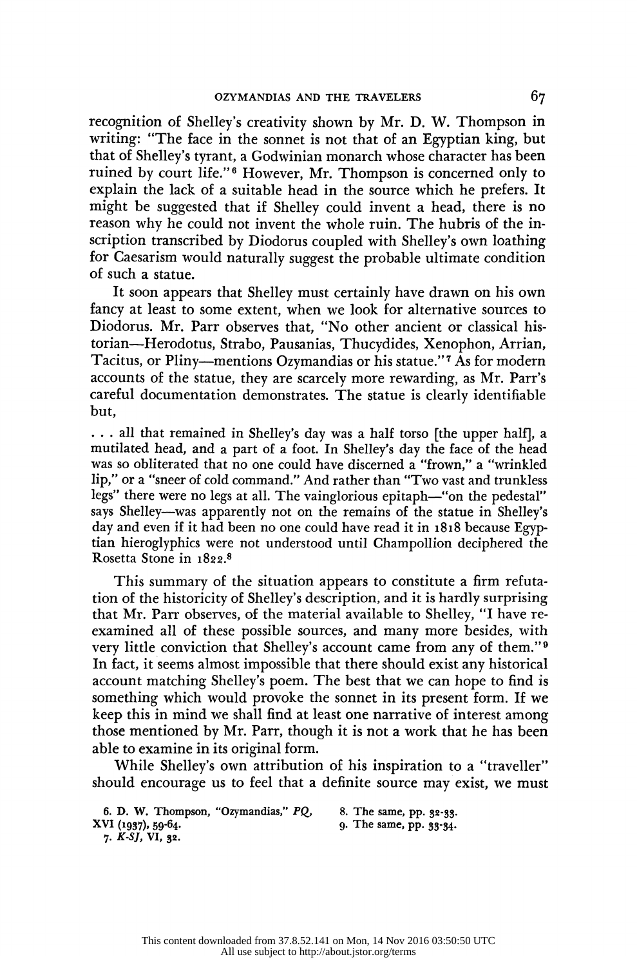recognition of Shelley's creativity shown by Mr. D. W. Thompson in writing: "The face in the sonnet is not that of an Egyptian king, but that of Shelley's tyrant, a Godwinian monarch whose character has been ruined by court life."<sup>6</sup> However, Mr. Thompson is concerned only to explain the lack of a suitable head in the source which he prefers. It might be suggested that if Shelley could invent a head, there is no reason why he could not invent the whole ruin. The hubris of the in scription transcribed by Diodorus coupled with Shelley's own loathing for Caesarism would naturally suggest the probable ultimate condition of such a statue.

 It soon appears that Shelley must certainly have drawn on his own fancy at least to some extent, when we look for alternative sources to Diodorus. Mr. Parr observes that, "No other ancient or classical his torian-Herodotus, Strabo, Pausanias, Thucydides, Xenophon, Arrian, Tacitus, or Pliny—mentions Ozymandias or his statue."<sup>7</sup> As for modern accounts of the statue, they are scarcely more rewarding, as Mr. Parr's careful documentation demonstrates. The statue is clearly identifiable but,

 ... all that remained in Shelley's day was a half torso [the upper half], a mutilated head, and a part of a foot. In Shelley's day the face of the head was so obliterated that no one could have discerned a "frown," a "wrinkled lip," or a "sneer of cold command." And rather than "Two vast and trunkless legs" there were no legs at all. The vainglorious epitaph-"on the pedestal" says Shelley--was apparently not on the remains of the statue in Shelley's day and even if it had been no one could have read it in 1818 because Egyp tian hieroglyphics were not understood until Champollion deciphered the Rosetta Stone in 1822.8

 This summary of the situation appears to constitute a firm refuta tion of the historicity of Shelley's description, and it is hardly surprising that Mr. Parr observes, of the material available to Shelley, "I have re examined all of these possible sources, and many more besides, with very little conviction that Shelley's account came from any of them."9 In fact, it seems almost impossible that there should exist any historical account matching Shelley's poem. The best that we can hope to find is something which would provoke the sonnet in its present form. If we keep this in mind we shall find at least one narrative of interest among those mentioned by Mr. Parr, though it is not a work that he has been able to examine in its original form.

 While Shelley's own attribution of his inspiration to a "traveller" should encourage us to feel that a definite source may exist, we must

 6. D. W. Thompson, "Ozymandias," PQ, XVI (1937), 59-64. 7. K-SJ, VI, 32.

 8. The same, pp. 32-33. 9. The same, pp. 33-34.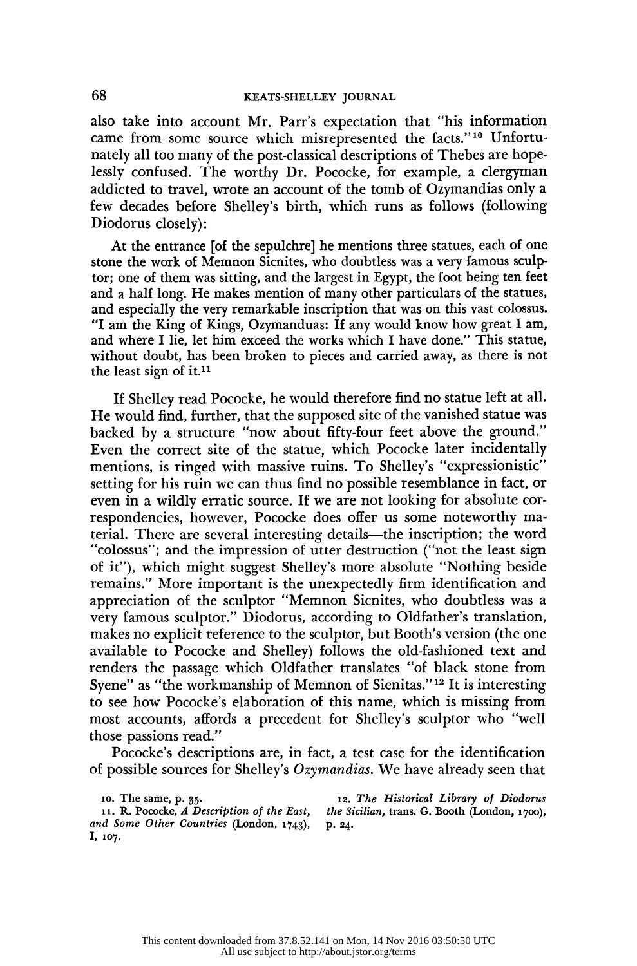## 68 KEATS-SHELLEY JOURNAL

 also take into account Mr. Parr's expectation that "his information came from some source which misrepresented the facts."<sup>10</sup> Unfortu nately all too many of the post-classical descriptions of Thebes are hope lessly confused. The worthy Dr. Pococke, for example, a clergyman addicted to travel, wrote an account of the tomb of Ozymandias only a few decades before Shelley's birth, which runs as follows (following Diodorus closely):

 At the entrance [of the sepulchre] he mentions three statues, each of one stone the work of Memnon Sicnites, who doubtless was a very famous sculp tor; one of them was sitting, and the largest in Egypt, the foot being ten feet and a half long. He makes mention of many other particulars of the statues, and especially the very remarkable inscription that was on this vast colossus. "I am the King of Kings, Ozymanduas: If any would know how great I am, and where I lie, let him exceed the works which I have done." This statue, without doubt, has been broken to pieces and carried away, as there is not the least sign of it. $11$ 

 If Shelley read Pococke, he would therefore find no statue left at all. He would find, further, that the supposed site of the vanished statue was backed by a structure "now about fifty-four feet above the ground." Even the correct site of the statue, which Pococke later incidentally mentions, is ringed with massive ruins. To Shelley's "expressionistic" setting for his ruin we can thus find no possible resemblance in fact, or even in a wildly erratic source. If we are not looking for absolute cor respondencies, however, Pococke does offer us some noteworthy ma terial. There are several interesting details—the inscription; the word "colossus"; and the impression of utter destruction ("not the least sign of it"), which might suggest Shelley's more absolute "Nothing beside remains." More important is the unexpectedly firm identification and appreciation of the sculptor "Memnon Sicnites, who doubtless was a very famous sculptor." Diodorus, according to Oldfather's translation, makes no explicit reference to the sculptor, but Booth's version (the one available to Pococke and Shelley) follows the old-fashioned text and renders the passage which Oldfather translates "of black stone from Syene" as "the workmanship of Memnon of Sienitas." $12$  It is interesting to see how Pococke's elaboration of this name, which is missing from most accounts, affords a precedent for Shelley's sculptor who "well those passions read."

 Pococke's descriptions are, in fact, a test case for the identification of possible sources for Shelley's Ozymandias. We have already seen that

lo. The same, p. 35.

 11. R. Pococke, A Description of the East, and Some Other Countries (London, 1743), I, 107.

 12. The Historical Library of Diodorus the Sicilian, trans. G. Booth (London, 1700), p. 24.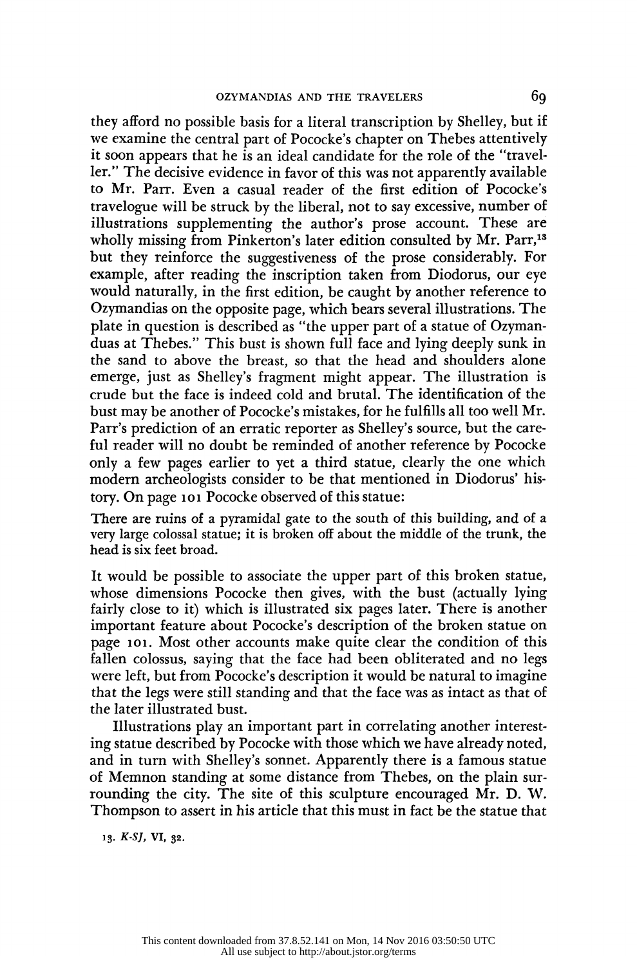they afford no possible basis for a literal transcription by Shelley, but if we examine the central part of Pococke's chapter on Thebes attentively it soon appears that he is an ideal candidate for the role of the "travel ler." The decisive evidence in favor of this was not apparently available to Mr. Parr. Even a casual reader of the first edition of Pococke's travelogue will be struck by the liberal, not to say excessive, number of illustrations supplementing the author's prose account. These are wholly missing from Pinkerton's later edition consulted by Mr. Parr,<sup>13</sup> but they reinforce the suggestiveness of the prose considerably. For example, after reading the inscription taken from Diodorus, our eye would naturally, in the first edition, be caught by another reference to Ozymandias on the opposite page, which bears several illustrations. The plate in question is described as "the upper part of a statue of Ozyman duas at Thebes." This bust is shown full face and lying deeply sunk in the sand to above the breast, so that the head and shoulders alone emerge, just as Shelley's fragment might appear. The illustration is crude but the face is indeed cold and brutal. The identification of the bust may be another of Pococke's mistakes, for he fulfills all too well Mr. Parr's prediction of an erratic reporter as Shelley's source, but the care ful reader will no doubt be reminded of another reference by Pococke only a few pages earlier to yet a third statue, clearly the one which modern archeologists consider to be that mentioned in Diodorus' his tory. On page 101 Pococke observed of this statue:

 There are ruins of a pyramidal gate to the south of this building, and of a very large colossal statue; it is broken off about the middle of the trunk, the head is six feet broad.

 It would be possible to associate the upper part of this broken statue, whose dimensions Pococke then gives, with the bust (actually lying fairly close to it) which is illustrated six pages later. There is another important feature about Pococke's description of the broken statue on page 101. Most other accounts make quite clear the condition of this fallen colossus, saying that the face had been obliterated and no legs were left, but from Pococke's description it would be natural to imagine that the legs were still standing and that the face was as intact as that of the later illustrated bust.

 Illustrations play an important part in correlating another interest ing statue described by Pococke with those which we have already noted, and in turn with Shelley's sonnet. Apparently there is a famous statue of Memnon standing at some distance from Thebes, on the plain sur rounding the city. The site of this sculpture encouraged Mr. D. W. Thompson to assert in his article that this must in fact be the statue that

13. K-SJ, VI, 32.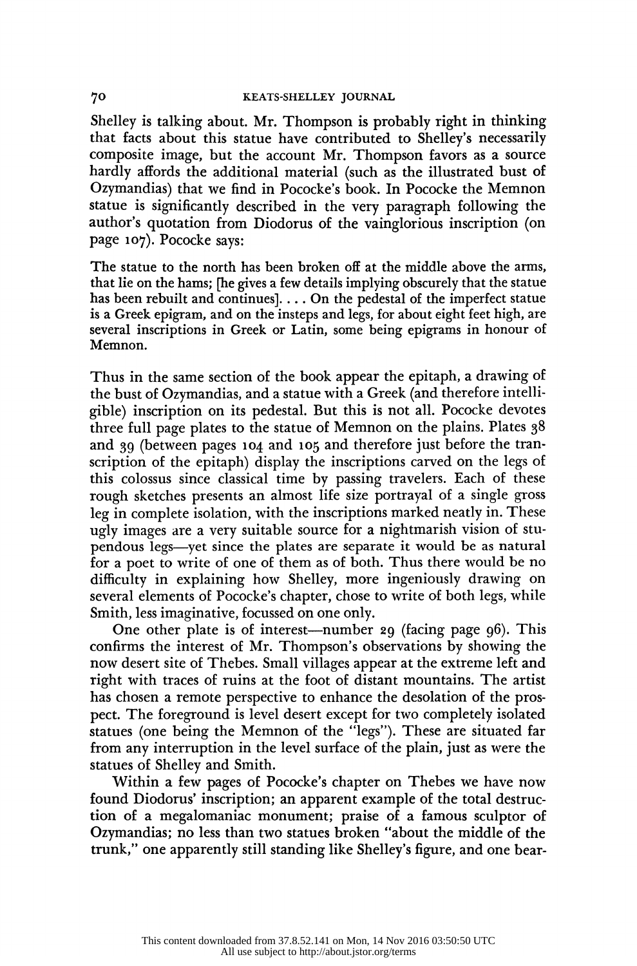## 7O KEATS-SHELLEY JOURNAL

 Shelley is talking about. Mr. Thompson is probably right in thinking that facts about this statue have contributed to Shelley's necessarily composite image, but the account Mr. Thompson favors as a source hardly affords the additional material (such as the illustrated bust of Ozymandias) that we find in Pococke's book. In Pococke the Memnon statue is significantly described in the very paragraph following the author's quotation from Diodorus of the vainglorious inscription (on page 107). Pococke says:

 The statue to the north has been broken off at the middle above the arms, that lie on the hams; [he gives a few details implying obscurely that the statue has been rebuilt and continues].... On the pedestal of the imperfect statue is a Greek epigram, and on the insteps and legs, for about eight feet high, are several inscriptions in Greek or Latin, some being epigrams in honour of Memnon.

 Thus in the same section of the book appear the epitaph, a drawing of the bust of Ozymandias, and a statue with a Greek (and therefore intelli gible) inscription on its pedestal. But this is not all. Pococke devotes three full page plates to the statue of Memnon on the plains. Plates 38 and 39 (between pages 104 and 105 and therefore just before the tran scription of the epitaph) display the inscriptions carved on the legs of this colossus since classical time by passing travelers. Each of these rough sketches presents an almost life size portrayal of a single gross leg in complete isolation, with the inscriptions marked neatly in. These ugly images are a very suitable source for a nightmarish vision of stu pendous legs-yet since the plates are separate it would be as natural for a poet to write of one of them as of both. Thus there would be no difficulty in explaining how Shelley, more ingeniously drawing on several elements of Pococke's chapter, chose to write of both legs, while Smith, less imaginative, focussed on one only.

One other plate is of interest—number 29 (facing page 96). This confirms the interest of Mr. Thompson's observations by showing the now desert site of Thebes. Small villages appear at the extreme left and right with traces of ruins at the foot of distant mountains. The artist has chosen a remote perspective to enhance the desolation of the pros pect. The foreground is level desert except for two completely isolated statues (one being the Memnon of the "legs"). These are situated far from any interruption in the level surface of the plain, just as were the statues of Shelley and Smith.

 Within a few pages of Pococke's chapter on Thebes we have now found Diodorus' inscription; an apparent example of the total destruc tion of a megalomaniac monument; praise of a famous sculptor of Ozymandias; no less than two statues broken "about the middle of the trunk," one apparently still standing like Shelley's figure, and one bear